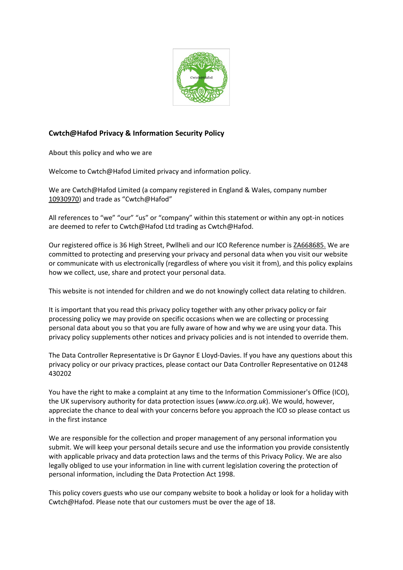

# **Cwtch@Hafod Privacy & Information Security Policy**

**About this policy and who we are**

Welcome to Cwtch@Hafod Limited privacy and information policy.

We are Cwtch@Hafod Limited (a company registered in England & Wales, company number [10930970](https://beta.companieshouse.gov.uk/company/10930970)) and trade as "Cwtch@Hafod"

All references to "we" "our" "us" or "company" within this statement or within any opt-in notices are deemed to refer to Cwtch@Hafod Ltd trading as Cwtch@Hafod.

Our registered office is 36 High Street, Pwllheli and our ICO Reference number i[s ZA668685.](https://ico.org.uk/ESDWebPages/Entry/ZA668685) We are committed to protecting and preserving your privacy and personal data when you visit our website or communicate with us electronically (regardless of where you visit it from), and this policy explains how we collect, use, share and protect your personal data.

This website is not intended for children and we do not knowingly collect data relating to children.

It is important that you read this privacy policy together with any other privacy policy or fair processing policy we may provide on specific occasions when we are collecting or processing personal data about you so that you are fully aware of how and why we are using your data. This privacy policy supplements other notices and privacy policies and is not intended to override them.

The Data Controller Representative is Dr Gaynor E Lloyd-Davies. If you have any questions about this privacy policy or our privacy practices, please contact our Data Controller Representative on 01248 430202

You have the right to make a complaint at any time to the Information Commissioner's Office (ICO), the UK supervisory authority for data protection issues (*www.ico.org.uk*). We would, however, appreciate the chance to deal with your concerns before you approach the ICO so please contact us in the first instance

We are responsible for the collection and proper management of any personal information you submit. We will keep your personal details secure and use the information you provide consistently with applicable privacy and data protection laws and the terms of this Privacy Policy. We are also legally obliged to use your information in line with current legislation covering the protection of personal information, including the Data Protection Act 1998.

This policy covers guests who use our company website to book a holiday or look for a holiday with Cwtch@Hafod. Please note that our customers must be over the age of 18.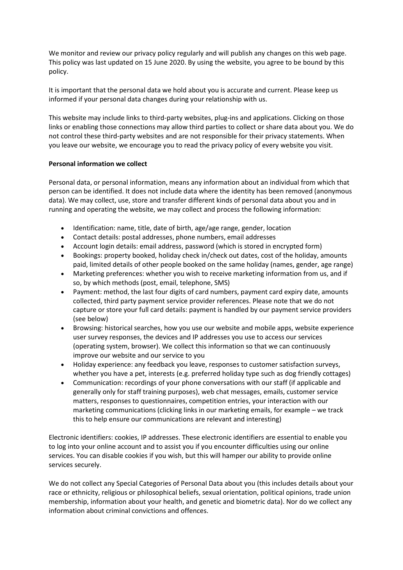We monitor and review our privacy policy regularly and will publish any changes on this web page. This policy was last updated on 15 June 2020. By using the website, you agree to be bound by this policy.

It is important that the personal data we hold about you is accurate and current. Please keep us informed if your personal data changes during your relationship with us.

This website may include links to third-party websites, plug-ins and applications. Clicking on those links or enabling those connections may allow third parties to collect or share data about you. We do not control these third-party websites and are not responsible for their privacy statements. When you leave our website, we encourage you to read the privacy policy of every website you visit.

# **Personal information we collect**

Personal data, or personal information, means any information about an individual from which that person can be identified. It does not include data where the identity has been removed (anonymous data). We may collect, use, store and transfer different kinds of personal data about you and in running and operating the website, we may collect and process the following information:

- Identification: name, title, date of birth, age/age range, gender, location
- Contact details: postal addresses, phone numbers, email addresses
- Account login details: email address, password (which is stored in encrypted form)
- Bookings: property booked, holiday check in/check out dates, cost of the holiday, amounts paid, limited details of other people booked on the same holiday (names, gender, age range)
- Marketing preferences: whether you wish to receive marketing information from us, and if so, by which methods (post, email, telephone, SMS)
- Payment: method, the last four digits of card numbers, payment card expiry date, amounts collected, third party payment service provider references. Please note that we do not capture or store your full card details: payment is handled by our payment service providers (see below)
- Browsing: historical searches, how you use our website and mobile apps, website experience user survey responses, the devices and IP addresses you use to access our services (operating system, browser). We collect this information so that we can continuously improve our website and our service to you
- Holiday experience: any feedback you leave, responses to customer satisfaction surveys, whether you have a pet, interests (e.g. preferred holiday type such as dog friendly cottages)
- Communication: recordings of your phone conversations with our staff (if applicable and generally only for staff training purposes), web chat messages, emails, customer service matters, responses to questionnaires, competition entries, your interaction with our marketing communications (clicking links in our marketing emails, for example – we track this to help ensure our communications are relevant and interesting)

Electronic identifiers: cookies, IP addresses. These electronic identifiers are essential to enable you to log into your online account and to assist you if you encounter difficulties using our online services. You can disable cookies if you wish, but this will hamper our ability to provide online services securely.

We do not collect any Special Categories of Personal Data about you (this includes details about your race or ethnicity, religious or philosophical beliefs, sexual orientation, political opinions, trade union membership, information about your health, and genetic and biometric data). Nor do we collect any information about criminal convictions and offences.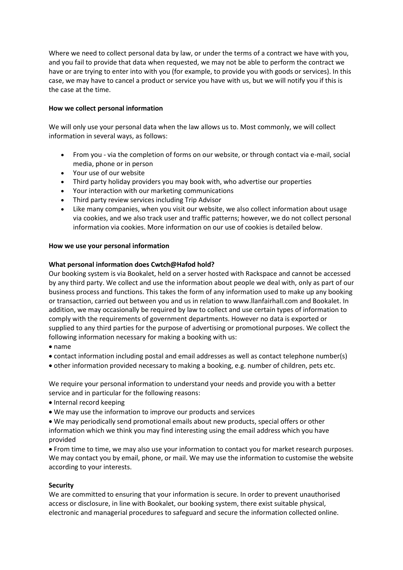Where we need to collect personal data by law, or under the terms of a contract we have with you, and you fail to provide that data when requested, we may not be able to perform the contract we have or are trying to enter into with you (for example, to provide you with goods or services). In this case, we may have to cancel a product or service you have with us, but we will notify you if this is the case at the time.

# **How we collect personal information**

We will only use your personal data when the law allows us to. Most commonly, we will collect information in several ways, as follows:

- From you via the completion of forms on our website, or through contact via e-mail, social media, phone or in person
- Your use of our website
- Third party holiday providers you may book with, who advertise our properties
- Your interaction with our marketing communications
- Third party review services including Trip Advisor
- Like many companies, when you visit our website, we also collect information about usage via cookies, and we also track user and traffic patterns; however, we do not collect personal information via cookies. More information on our use of cookies is detailed below.

### **How we use your personal information**

### **What personal information does Cwtch@Hafod hold?**

Our booking system is via Bookalet, held on a server hosted with Rackspace and cannot be accessed by any third party. We collect and use the information about people we deal with, only as part of our business process and functions. This takes the form of any information used to make up any booking or transaction, carried out between you and us in relation to www.llanfairhall.com and Bookalet. In addition, we may occasionally be required by law to collect and use certain types of information to comply with the requirements of government departments. However no data is exported or supplied to any third parties for the purpose of advertising or promotional purposes. We collect the following information necessary for making a booking with us:

- name
- contact information including postal and email addresses as well as contact telephone number(s)
- other information provided necessary to making a booking, e.g. number of children, pets etc.

We require your personal information to understand your needs and provide you with a better service and in particular for the following reasons:

- Internal record keeping
- We may use the information to improve our products and services
- We may periodically send promotional emails about new products, special offers or other information which we think you may find interesting using the email address which you have provided

• From time to time, we may also use your information to contact you for market research purposes. We may contact you by email, phone, or mail. We may use the information to customise the website according to your interests.

### **Security**

We are committed to ensuring that your information is secure. In order to prevent unauthorised access or disclosure, in line with Bookalet, our booking system, there exist suitable physical, electronic and managerial procedures to safeguard and secure the information collected online.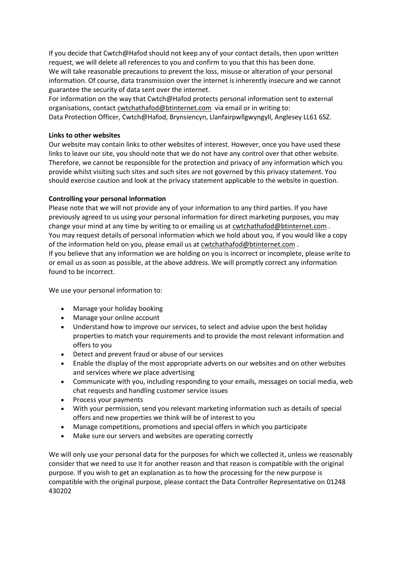If you decide that Cwtch@Hafod should not keep any of your contact details, then upon written request, we will delete all references to you and confirm to you that this has been done. We will take reasonable precautions to prevent the loss, misuse or alteration of your personal information. Of course, data transmission over the internet is inherently insecure and we cannot guarantee the security of data sent over the internet.

For information on the way that Cwtch@Hafod protects personal information sent to external organisations, contact [cwtchathafod@btinternet.com](mailto:cwtchathafod@btinternet.com) via email or in writing to:

Data Protection Officer, Cwtch@Hafod, Brynsiencyn, Llanfairpwllgwyngyll, Anglesey LL61 6SZ.

### **Links to other websites**

Our website may contain links to other websites of interest. However, once you have used these links to leave our site, you should note that we do not have any control over that other website. Therefore, we cannot be responsible for the protection and privacy of any information which you provide whilst visiting such sites and such sites are not governed by this privacy statement. You should exercise caution and look at the privacy statement applicable to the website in question.

# **Controlling your personal information**

Please note that we will not provide any of your information to any third parties. If you have previously agreed to us using your personal information for direct marketing purposes, you may change your mind at any time by writing to or emailing us at [cwtchathafod@btinternet.com](mailto:cwtchathafod@btinternet.com) . You may request details of personal information which we hold about you, if you would like a copy of the information held on you, please email us at [cwtchathafod@btinternet.com](mailto:cwtchathafod@btinternet.com) . If you believe that any information we are holding on you is incorrect or incomplete, please write to or email us as soon as possible, at the above address. We will promptly correct any information found to be incorrect.

We use your personal information to:

- Manage your holiday booking
- Manage your online account
- Understand how to improve our services, to select and advise upon the best holiday properties to match your requirements and to provide the most relevant information and offers to you
- Detect and prevent fraud or abuse of our services
- Enable the display of the most appropriate adverts on our websites and on other websites and services where we place advertising
- Communicate with you, including responding to your emails, messages on social media, web chat requests and handling customer service issues
- Process your payments
- With your permission, send you relevant marketing information such as details of special offers and new properties we think will be of interest to you
- Manage competitions, promotions and special offers in which you participate
- Make sure our servers and websites are operating correctly

We will only use your personal data for the purposes for which we collected it, unless we reasonably consider that we need to use it for another reason and that reason is compatible with the original purpose. If you wish to get an explanation as to how the processing for the new purpose is compatible with the original purpose, please contact the Data Controller Representative on 01248 430202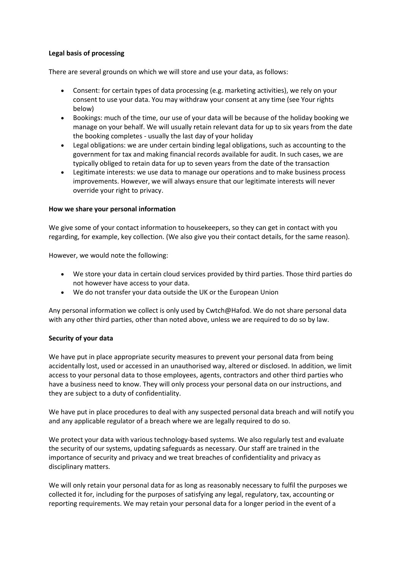# **Legal basis of processing**

There are several grounds on which we will store and use your data, as follows:

- Consent: for certain types of data processing (e.g. marketing activities), we rely on your consent to use your data. You may withdraw your consent at any time (see Your rights below)
- Bookings: much of the time, our use of your data will be because of the holiday booking we manage on your behalf. We will usually retain relevant data for up to six years from the date the booking completes - usually the last day of your holiday
- Legal obligations: we are under certain binding legal obligations, such as accounting to the government for tax and making financial records available for audit. In such cases, we are typically obliged to retain data for up to seven years from the date of the transaction
- Legitimate interests: we use data to manage our operations and to make business process improvements. However, we will always ensure that our legitimate interests will never override your right to privacy.

# **How we share your personal information**

We give some of your contact information to housekeepers, so they can get in contact with you regarding, for example, key collection. (We also give you their contact details, for the same reason).

However, we would note the following:

- We store your data in certain cloud services provided by third parties. Those third parties do not however have access to your data.
- We do not transfer your data outside the UK or the European Union

Any personal information we collect is only used by Cwtch@Hafod. We do not share personal data with any other third parties, other than noted above, unless we are required to do so by law.

# **Security of your data**

We have put in place appropriate security measures to prevent your personal data from being accidentally lost, used or accessed in an unauthorised way, altered or disclosed. In addition, we limit access to your personal data to those employees, agents, contractors and other third parties who have a business need to know. They will only process your personal data on our instructions, and they are subject to a duty of confidentiality.

We have put in place procedures to deal with any suspected personal data breach and will notify you and any applicable regulator of a breach where we are legally required to do so.

We protect your data with various technology-based systems. We also regularly test and evaluate the security of our systems, updating safeguards as necessary. Our staff are trained in the importance of security and privacy and we treat breaches of confidentiality and privacy as disciplinary matters.

We will only retain your personal data for as long as reasonably necessary to fulfil the purposes we collected it for, including for the purposes of satisfying any legal, regulatory, tax, accounting or reporting requirements. We may retain your personal data for a longer period in the event of a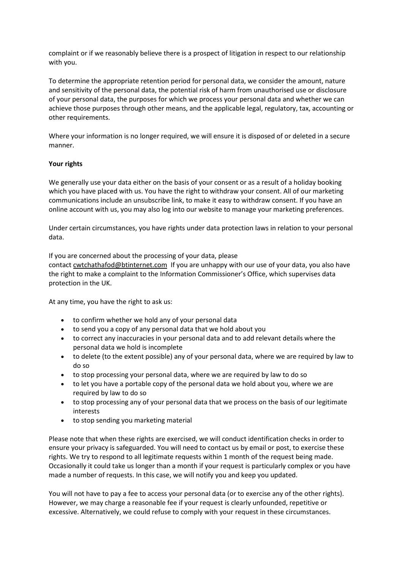complaint or if we reasonably believe there is a prospect of litigation in respect to our relationship with you.

To determine the appropriate retention period for personal data, we consider the amount, nature and sensitivity of the personal data, the potential risk of harm from unauthorised use or disclosure of your personal data, the purposes for which we process your personal data and whether we can achieve those purposes through other means, and the applicable legal, regulatory, tax, accounting or other requirements.

Where your information is no longer required, we will ensure it is disposed of or deleted in a secure manner.

# **Your rights**

We generally use your data either on the basis of your consent or as a result of a holiday booking which you have placed with us. You have the right to withdraw your consent. All of our marketing communications include an unsubscribe link, to make it easy to withdraw consent. If you have an online account with us, you may also log into our website to manage your marketing preferences.

Under certain circumstances, you have rights under data protection laws in relation to your personal data.

If you are concerned about the processing of your data, please contact [cwtchathafod@btinternet.com](mailto:cwtchathafod@btinternet.com) If you are unhappy with our use of your data, you also have the right to make a complaint to the [Information Commissioner's Office](https://ico.org.uk/), which supervises data protection in the UK.

At any time, you have the right to ask us:

- to confirm whether we hold any of your personal data
- to send you a copy of any personal data that we hold about you
- to correct any inaccuracies in your personal data and to add relevant details where the personal data we hold is incomplete
- to delete (to the extent possible) any of your personal data, where we are required by law to do so
- to stop processing your personal data, where we are required by law to do so
- to let you have a portable copy of the personal data we hold about you, where we are required by law to do so
- to stop processing any of your personal data that we process on the basis of our legitimate interests
- to stop sending you marketing material

Please note that when these rights are exercised, we will conduct identification checks in order to ensure your privacy is safeguarded. You will need to contact us by email or post, to exercise these rights. We try to respond to all legitimate requests within 1 month of the request being made. Occasionally it could take us longer than a month if your request is particularly complex or you have made a number of requests. In this case, we will notify you and keep you updated.

You will not have to pay a fee to access your personal data (or to exercise any of the other rights). However, we may charge a reasonable fee if your request is clearly unfounded, repetitive or excessive. Alternatively, we could refuse to comply with your request in these circumstances.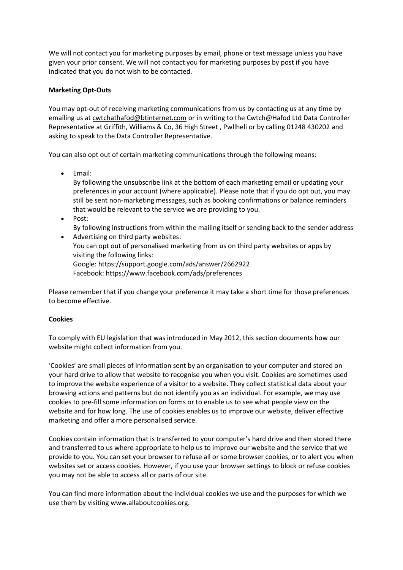We will not contact you for marketing purposes by email, phone or text message unless you have given your prior consent. We will not contact you for marketing purposes by post if you have indicated that you do not wish to be contacted.

# **Marketing Opt-Outs**

You may opt-out of receiving marketing communications from us by contacting us at any time by emailing us at [cwtchathafod@btinternet.com](mailto:cwtchathafod@btinternet.com) or in writing to the Cwtch@Hafod Ltd Data Controller Representative at Griffith, Williams & Co, 36 High Street , Pwllheli or by calling 01248 430202 and asking to speak to the Data Controller Representative.

You can also opt out of certain marketing communications through the following means:

• Email:

By following the unsubscribe link at the bottom of each marketing email or updating your preferences in your account (where applicable). Please note that if you do opt out, you may still be sent non-marketing messages, such as booking confirmations or balance reminders that would be relevant to the service we are providing to you.

• Post:

By following instructions from within the mailing itself or sending back to the sender address • Advertising on third party websites:

You can opt out of personalised marketing from us on third party websites or apps by visiting the following links: Google: <https://support.google.com/ads/answer/2662922>

Facebook: <https://www.facebook.com/ads/preferences>

Please remember that if you change your preference it may take a short time for those preferences to become effective.

# **Cookies**

To comply with EU legislation that was introduced in May 2012, this section documents how our website might collect information from you.

'Cookies' are small pieces of information sent by an organisation to your computer and stored on your hard drive to allow that website to recognise you when you visit. Cookies are sometimes used to improve the website experience of a visitor to a website. They collect statistical data about your browsing actions and patterns but do not identify you as an individual. For example, we may use cookies to pre-fill some information on forms or to enable us to see what people view on the website and for how long. The use of cookies enables us to improve our website, deliver effective marketing and offer a more personalised service.

Cookies contain information that is transferred to your computer's hard drive and then stored there and transferred to us where appropriate to help us to improve our website and the service that we provide to you. You can set your browser to refuse all or some browser cookies, or to alert you when websites set or access cookies. However, if you use your browser settings to block or refuse cookies you may not be able to access all or parts of our site.

You can find more information about the individual cookies we use and the purposes for which we use them by visiting [www.allaboutcookies.org.](http://www.allaboutcookies.org/)